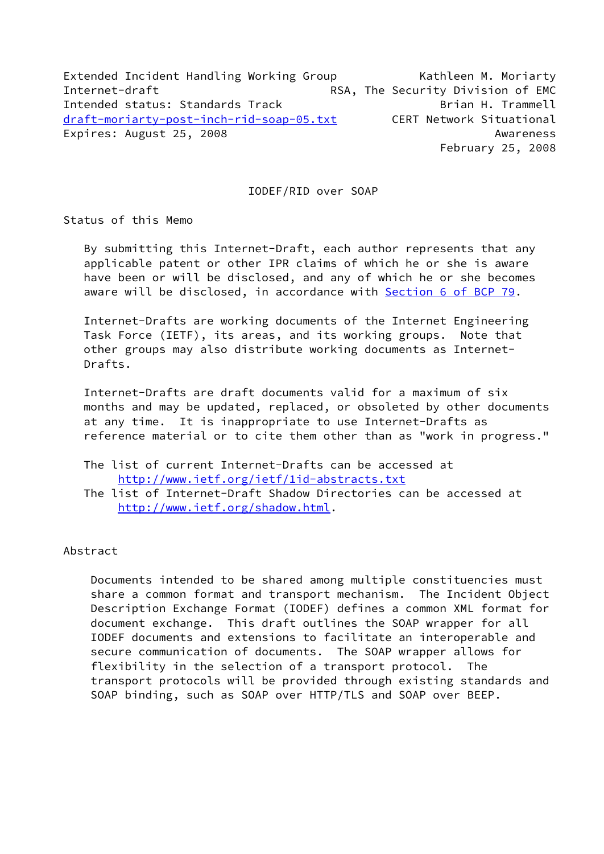Extended Incident Handling Working Group The Kathleen M. Moriarty Internet-draft **EXALL RSA, The Security Division of EMC** Intended status: Standards Track and Brian H. Trammell [draft-moriarty-post-inch-rid-soap-05.txt](https://datatracker.ietf.org/doc/pdf/draft-moriarty-post-inch-rid-soap-05.txt) CERT Network Situational Expires: August 25, 2008 Awareness August 25, 2008 February 25, 2008

### IODEF/RID over SOAP

Status of this Memo

 By submitting this Internet-Draft, each author represents that any applicable patent or other IPR claims of which he or she is aware have been or will be disclosed, and any of which he or she becomes aware will be disclosed, in accordance with Section [6 of BCP 79.](https://datatracker.ietf.org/doc/pdf/bcp79#section-6)

 Internet-Drafts are working documents of the Internet Engineering Task Force (IETF), its areas, and its working groups. Note that other groups may also distribute working documents as Internet- Drafts.

 Internet-Drafts are draft documents valid for a maximum of six months and may be updated, replaced, or obsoleted by other documents at any time. It is inappropriate to use Internet-Drafts as reference material or to cite them other than as "work in progress."

- The list of current Internet-Drafts can be accessed at <http://www.ietf.org/ietf/1id-abstracts.txt>
- The list of Internet-Draft Shadow Directories can be accessed at <http://www.ietf.org/shadow.html>.

# Abstract

 Documents intended to be shared among multiple constituencies must share a common format and transport mechanism. The Incident Object Description Exchange Format (IODEF) defines a common XML format for document exchange. This draft outlines the SOAP wrapper for all IODEF documents and extensions to facilitate an interoperable and secure communication of documents. The SOAP wrapper allows for flexibility in the selection of a transport protocol. The transport protocols will be provided through existing standards and SOAP binding, such as SOAP over HTTP/TLS and SOAP over BEEP.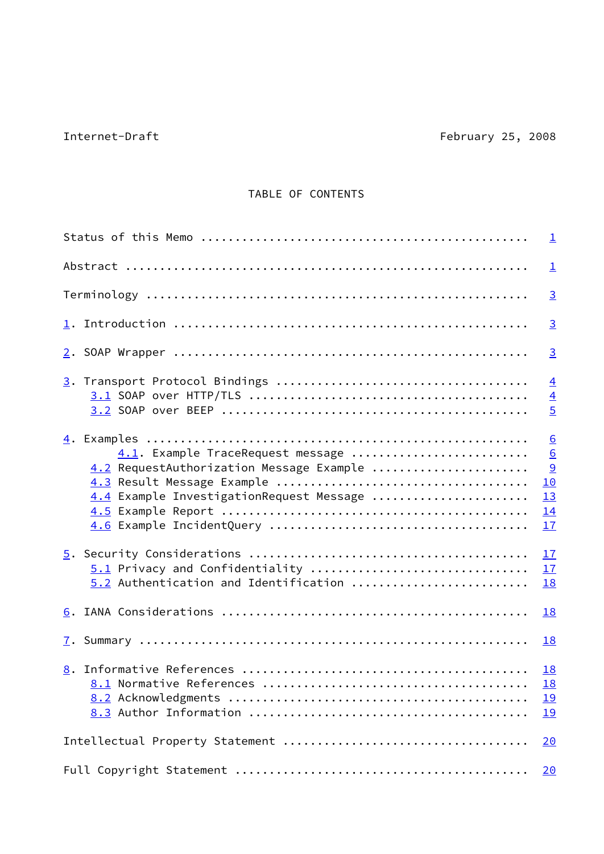# TABLE OF CONTENTS

|                                                                                                                           | $\perp$                                            |
|---------------------------------------------------------------------------------------------------------------------------|----------------------------------------------------|
|                                                                                                                           | $\overline{1}$                                     |
|                                                                                                                           | $\overline{3}$                                     |
|                                                                                                                           | $\overline{3}$                                     |
|                                                                                                                           | $\overline{3}$                                     |
|                                                                                                                           | $\overline{4}$<br>$\overline{4}$<br>$\overline{5}$ |
| 4.1. Example TraceRequest message<br>4.2 RequestAuthorization Message Example<br>4.4 Example InvestigationRequest Message | 6<br>$\underline{6}$<br>9<br>10<br>13<br>14<br>17  |
| 5.1 Privacy and Confidentiality<br>5.2 Authentication and Identification                                                  | 17<br>17<br><u>18</u>                              |
|                                                                                                                           | <b>18</b>                                          |
|                                                                                                                           | <b>18</b>                                          |
|                                                                                                                           | <b>18</b><br><u>18</u><br><u>19</u><br>19          |
|                                                                                                                           | 20                                                 |
|                                                                                                                           | 20                                                 |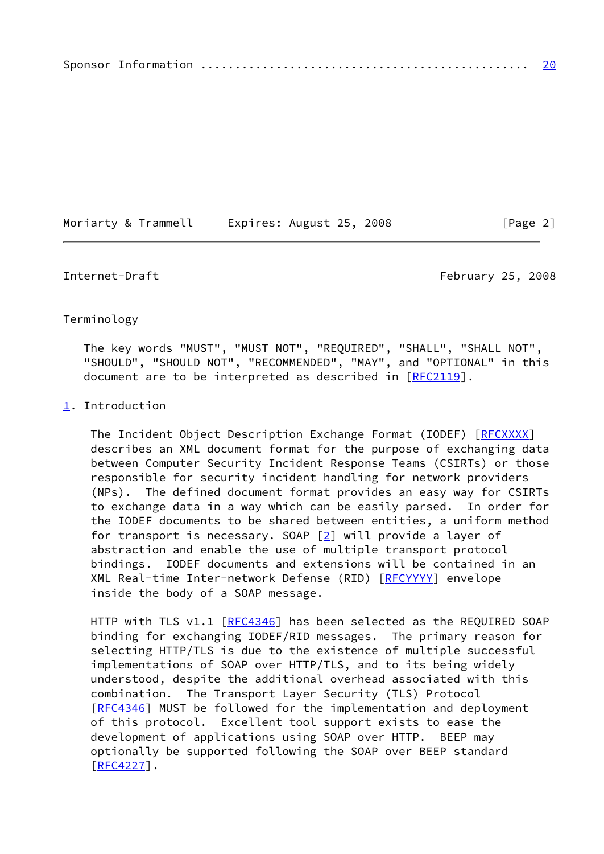|--|--|--|--|

Moriarty & Trammell Expires: August 25, 2008 [Page 2]

### Terminology

 The key words "MUST", "MUST NOT", "REQUIRED", "SHALL", "SHALL NOT", "SHOULD", "SHOULD NOT", "RECOMMENDED", "MAY", and "OPTIONAL" in this document are to be interpreted as described in [\[RFC2119](https://datatracker.ietf.org/doc/pdf/rfc2119)].

<span id="page-2-0"></span>Internet-Draft February 25, 2008

# <span id="page-2-1"></span>[1](#page-2-1). Introduction

The Incident Object Description Exchange Format (IODEF) [\[RFCXXXX](#page-21-3)] describes an XML document format for the purpose of exchanging data between Computer Security Incident Response Teams (CSIRTs) or those responsible for security incident handling for network providers (NPs). The defined document format provides an easy way for CSIRTs to exchange data in a way which can be easily parsed. In order for the IODEF documents to be shared between entities, a uniform method for transport is necessary. SOAP  $[2]$  $[2]$  will provide a layer of abstraction and enable the use of multiple transport protocol bindings. IODEF documents and extensions will be contained in an XML Real-time Inter-network Defense (RID) [[RFCYYYY\]](#page-21-4) envelope inside the body of a SOAP message.

HTTP with TLS v1.1 [\[RFC4346](https://datatracker.ietf.org/doc/pdf/rfc4346)] has been selected as the REQUIRED SOAP binding for exchanging IODEF/RID messages. The primary reason for selecting HTTP/TLS is due to the existence of multiple successful implementations of SOAP over HTTP/TLS, and to its being widely understood, despite the additional overhead associated with this combination. The Transport Layer Security (TLS) Protocol [\[RFC4346](https://datatracker.ietf.org/doc/pdf/rfc4346)] MUST be followed for the implementation and deployment of this protocol. Excellent tool support exists to ease the development of applications using SOAP over HTTP. BEEP may optionally be supported following the SOAP over BEEP standard [\[RFC4227](https://datatracker.ietf.org/doc/pdf/rfc4227)].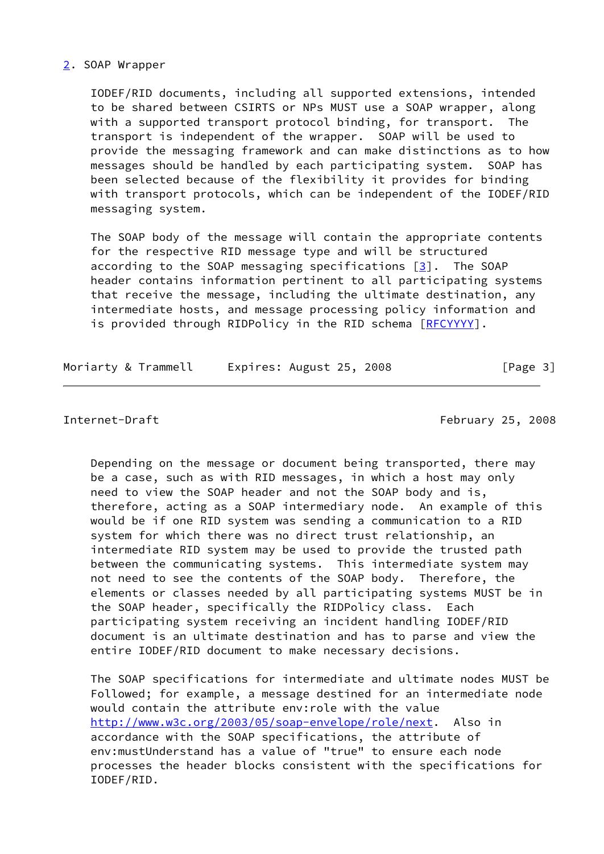### <span id="page-3-0"></span>[2](#page-3-0). SOAP Wrapper

 IODEF/RID documents, including all supported extensions, intended to be shared between CSIRTS or NPs MUST use a SOAP wrapper, along with a supported transport protocol binding, for transport. The transport is independent of the wrapper. SOAP will be used to provide the messaging framework and can make distinctions as to how messages should be handled by each participating system. SOAP has been selected because of the flexibility it provides for binding with transport protocols, which can be independent of the IODEF/RID messaging system.

 The SOAP body of the message will contain the appropriate contents for the respective RID message type and will be structured according to the SOAP messaging specifications  $[3]$  $[3]$ . The SOAP header contains information pertinent to all participating systems that receive the message, including the ultimate destination, any intermediate hosts, and message processing policy information and is provided through RIDPolicy in the RID schema [\[RFCYYYY](#page-21-4)].

Moriarty & Trammell Expires: August 25, 2008 [Page 3]

<span id="page-3-1"></span>Internet-Draft February 25, 2008

 Depending on the message or document being transported, there may be a case, such as with RID messages, in which a host may only need to view the SOAP header and not the SOAP body and is, therefore, acting as a SOAP intermediary node. An example of this would be if one RID system was sending a communication to a RID system for which there was no direct trust relationship, an intermediate RID system may be used to provide the trusted path between the communicating systems. This intermediate system may not need to see the contents of the SOAP body. Therefore, the elements or classes needed by all participating systems MUST be in the SOAP header, specifically the RIDPolicy class. Each participating system receiving an incident handling IODEF/RID document is an ultimate destination and has to parse and view the entire IODEF/RID document to make necessary decisions.

 The SOAP specifications for intermediate and ultimate nodes MUST be Followed; for example, a message destined for an intermediate node would contain the attribute env:role with the value [http://www.w3c.org/2003/05/soap-envelope/role/next.](http://www.w3c.org/2003/05/soap-envelope/role/next) Also in accordance with the SOAP specifications, the attribute of env:mustUnderstand has a value of "true" to ensure each node processes the header blocks consistent with the specifications for IODEF/RID.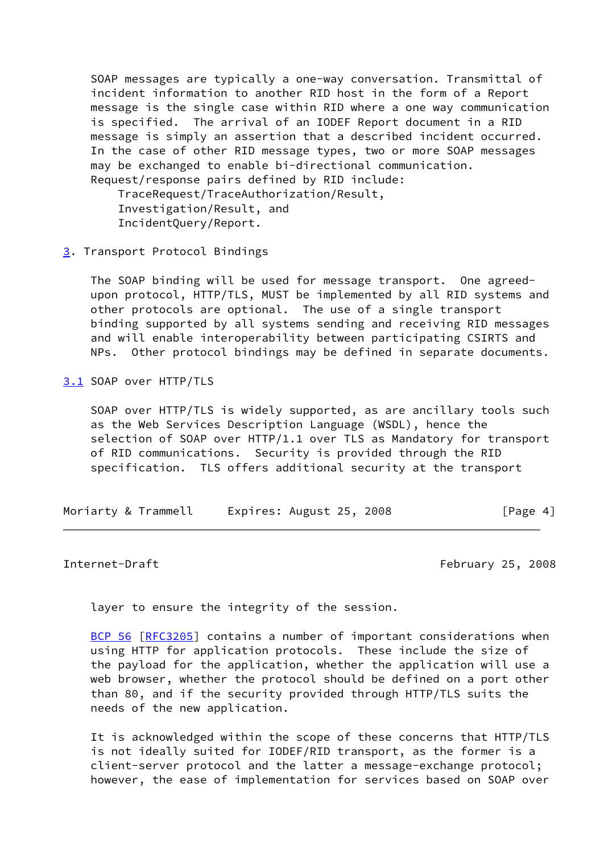SOAP messages are typically a one-way conversation. Transmittal of incident information to another RID host in the form of a Report message is the single case within RID where a one way communication is specified. The arrival of an IODEF Report document in a RID message is simply an assertion that a described incident occurred. In the case of other RID message types, two or more SOAP messages may be exchanged to enable bi-directional communication. Request/response pairs defined by RID include: TraceRequest/TraceAuthorization/Result,

 Investigation/Result, and IncidentQuery/Report.

<span id="page-4-0"></span>[3](#page-4-0). Transport Protocol Bindings

 The SOAP binding will be used for message transport. One agreed upon protocol, HTTP/TLS, MUST be implemented by all RID systems and other protocols are optional. The use of a single transport binding supported by all systems sending and receiving RID messages and will enable interoperability between participating CSIRTS and NPs. Other protocol bindings may be defined in separate documents.

<span id="page-4-1"></span>[3.1](#page-4-1) SOAP over HTTP/TLS

 SOAP over HTTP/TLS is widely supported, as are ancillary tools such as the Web Services Description Language (WSDL), hence the selection of SOAP over HTTP/1.1 over TLS as Mandatory for transport of RID communications. Security is provided through the RID specification. TLS offers additional security at the transport

| Moriarty & Trammell | Expires: August 25, 2008 | [Page 4] |
|---------------------|--------------------------|----------|
|---------------------|--------------------------|----------|

<span id="page-4-2"></span>Internet-Draft February 25, 2008

layer to ensure the integrity of the session.

[BCP 56](https://datatracker.ietf.org/doc/pdf/bcp56) [\[RFC3205](https://datatracker.ietf.org/doc/pdf/rfc3205)] contains a number of important considerations when using HTTP for application protocols. These include the size of the payload for the application, whether the application will use a web browser, whether the protocol should be defined on a port other than 80, and if the security provided through HTTP/TLS suits the needs of the new application.

 It is acknowledged within the scope of these concerns that HTTP/TLS is not ideally suited for IODEF/RID transport, as the former is a client-server protocol and the latter a message-exchange protocol; however, the ease of implementation for services based on SOAP over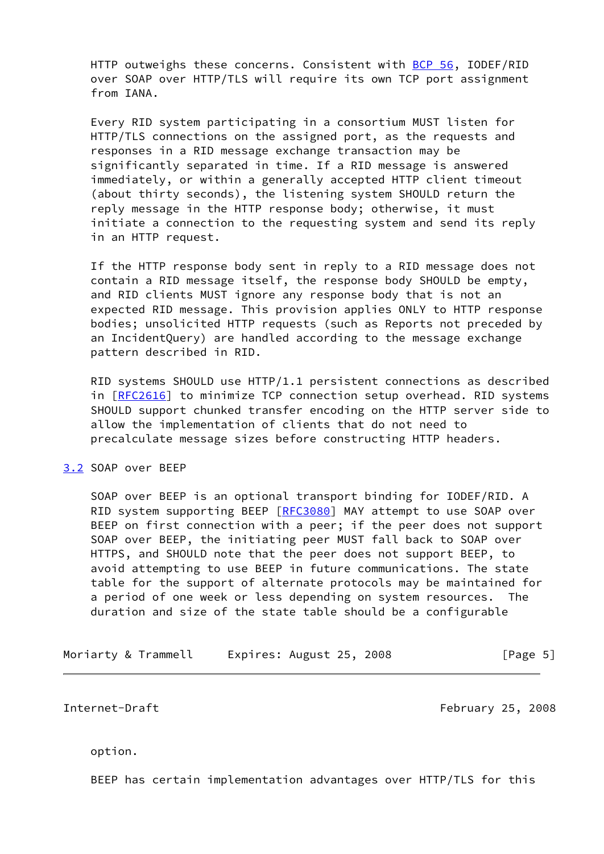HTTP outweighs these concerns. Consistent with [BCP 56](https://datatracker.ietf.org/doc/pdf/bcp56), IODEF/RID over SOAP over HTTP/TLS will require its own TCP port assignment from IANA.

 Every RID system participating in a consortium MUST listen for HTTP/TLS connections on the assigned port, as the requests and responses in a RID message exchange transaction may be significantly separated in time. If a RID message is answered immediately, or within a generally accepted HTTP client timeout (about thirty seconds), the listening system SHOULD return the reply message in the HTTP response body; otherwise, it must initiate a connection to the requesting system and send its reply in an HTTP request.

 If the HTTP response body sent in reply to a RID message does not contain a RID message itself, the response body SHOULD be empty, and RID clients MUST ignore any response body that is not an expected RID message. This provision applies ONLY to HTTP response bodies; unsolicited HTTP requests (such as Reports not preceded by an IncidentQuery) are handled according to the message exchange pattern described in RID.

 RID systems SHOULD use HTTP/1.1 persistent connections as described in [\[RFC2616](https://datatracker.ietf.org/doc/pdf/rfc2616)] to minimize TCP connection setup overhead. RID systems SHOULD support chunked transfer encoding on the HTTP server side to allow the implementation of clients that do not need to precalculate message sizes before constructing HTTP headers.

### <span id="page-5-0"></span>[3.2](#page-5-0) SOAP over BEEP

 SOAP over BEEP is an optional transport binding for IODEF/RID. A RID system supporting BEEP [\[RFC3080](https://datatracker.ietf.org/doc/pdf/rfc3080)] MAY attempt to use SOAP over BEEP on first connection with a peer; if the peer does not support SOAP over BEEP, the initiating peer MUST fall back to SOAP over HTTPS, and SHOULD note that the peer does not support BEEP, to avoid attempting to use BEEP in future communications. The state table for the support of alternate protocols may be maintained for a period of one week or less depending on system resources. The duration and size of the state table should be a configurable

| Moriarty & Trammell | Expires: August 25, 2008 | [Page 5] |
|---------------------|--------------------------|----------|
|---------------------|--------------------------|----------|

<span id="page-5-1"></span>Internet-Draft February 25, 2008

option.

BEEP has certain implementation advantages over HTTP/TLS for this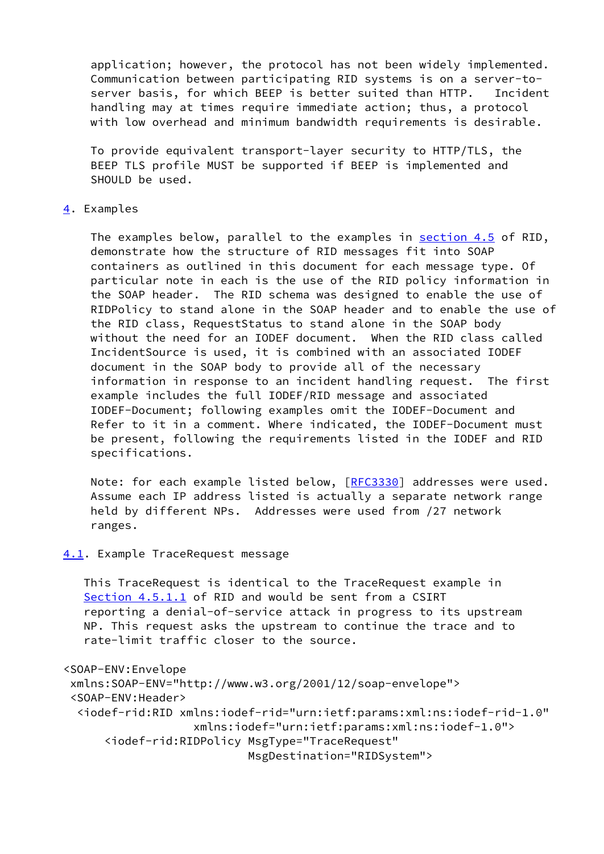application; however, the protocol has not been widely implemented. Communication between participating RID systems is on a server-to server basis, for which BEEP is better suited than HTTP. Incident handling may at times require immediate action; thus, a protocol with low overhead and minimum bandwidth requirements is desirable.

 To provide equivalent transport-layer security to HTTP/TLS, the BEEP TLS profile MUST be supported if BEEP is implemented and SHOULD be used.

### <span id="page-6-0"></span>[4](#page-6-0). Examples

 The examples below, parallel to the examples in [section 4.5](#page-16-0) of RID, demonstrate how the structure of RID messages fit into SOAP containers as outlined in this document for each message type. Of particular note in each is the use of the RID policy information in the SOAP header. The RID schema was designed to enable the use of RIDPolicy to stand alone in the SOAP header and to enable the use of the RID class, RequestStatus to stand alone in the SOAP body without the need for an IODEF document. When the RID class called IncidentSource is used, it is combined with an associated IODEF document in the SOAP body to provide all of the necessary information in response to an incident handling request. The first example includes the full IODEF/RID message and associated IODEF-Document; following examples omit the IODEF-Document and Refer to it in a comment. Where indicated, the IODEF-Document must be present, following the requirements listed in the IODEF and RID specifications.

Note: for each example listed below, [[RFC3330](https://datatracker.ietf.org/doc/pdf/rfc3330)] addresses were used. Assume each IP address listed is actually a separate network range held by different NPs. Addresses were used from /27 network ranges.

# <span id="page-6-1"></span>[4.1](#page-6-1). Example TraceRequest message

 This TraceRequest is identical to the TraceRequest example in Section 4.5.1.1 of RID and would be sent from a CSIRT reporting a denial-of-service attack in progress to its upstream NP. This request asks the upstream to continue the trace and to rate-limit traffic closer to the source.

```
<SOAP-ENV:Envelope
```

```
 xmlns:SOAP-ENV="http://www.w3.org/2001/12/soap-envelope">
 <SOAP-ENV:Header>
  <iodef-rid:RID xmlns:iodef-rid="urn:ietf:params:xml:ns:iodef-rid-1.0"
                   xmlns:iodef="urn:ietf:params:xml:ns:iodef-1.0">
      <iodef-rid:RIDPolicy MsgType="TraceRequest"
                           MsgDestination="RIDSystem">
```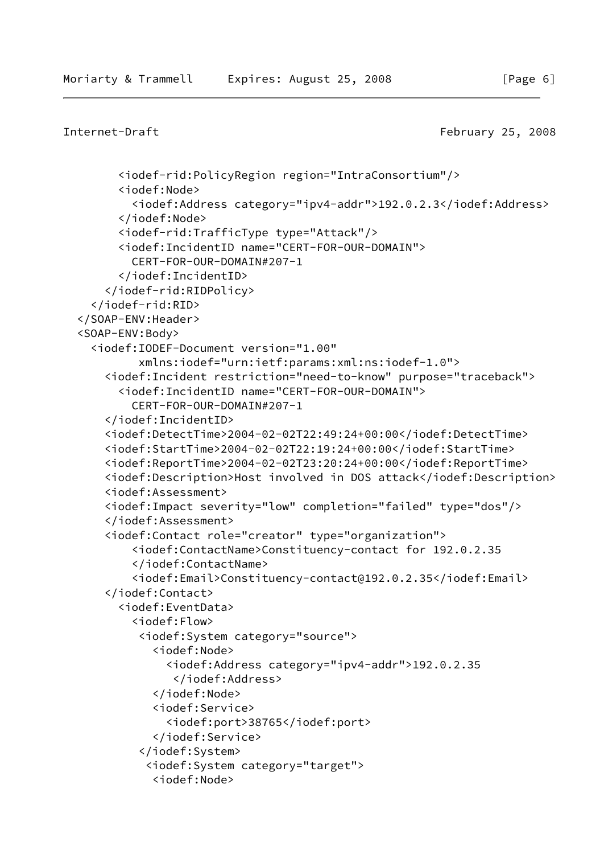```
Internet-Draft February 25, 2008
         <iodef-rid:PolicyRegion region="IntraConsortium"/>
         <iodef:Node>
           <iodef:Address category="ipv4-addr">192.0.2.3</iodef:Address>
         </iodef:Node>
         <iodef-rid:TrafficType type="Attack"/>
         <iodef:IncidentID name="CERT-FOR-OUR-DOMAIN">
           CERT-FOR-OUR-DOMAIN#207-1
         </iodef:IncidentID>
       </iodef-rid:RIDPolicy>
     </iodef-rid:RID>
   </SOAP-ENV:Header>
   <SOAP-ENV:Body>
     <iodef:IODEF-Document version="1.00"
            xmlns:iodef="urn:ietf:params:xml:ns:iodef-1.0">
       <iodef:Incident restriction="need-to-know" purpose="traceback">
         <iodef:IncidentID name="CERT-FOR-OUR-DOMAIN">
           CERT-FOR-OUR-DOMAIN#207-1
       </iodef:IncidentID>
       <iodef:DetectTime>2004-02-02T22:49:24+00:00</iodef:DetectTime>
       <iodef:StartTime>2004-02-02T22:19:24+00:00</iodef:StartTime>
       <iodef:ReportTime>2004-02-02T23:20:24+00:00</iodef:ReportTime>
       <iodef:Description>Host involved in DOS attack</iodef:Description>
       <iodef:Assessment>
       <iodef:Impact severity="low" completion="failed" type="dos"/>
       </iodef:Assessment>
       <iodef:Contact role="creator" type="organization">
           <iodef:ContactName>Constituency-contact for 192.0.2.35
           </iodef:ContactName>
           <iodef:Email>Constituency-contact@192.0.2.35</iodef:Email>
       </iodef:Contact>
         <iodef:EventData>
           <iodef:Flow>
            <iodef:System category="source">
              <iodef:Node>
                <iodef:Address category="ipv4-addr">192.0.2.35
                 </iodef:Address>
              </iodef:Node>
              <iodef:Service>
                <iodef:port>38765</iodef:port>
              </iodef:Service>
            </iodef:System>
             <iodef:System category="target">
              <iodef:Node>
```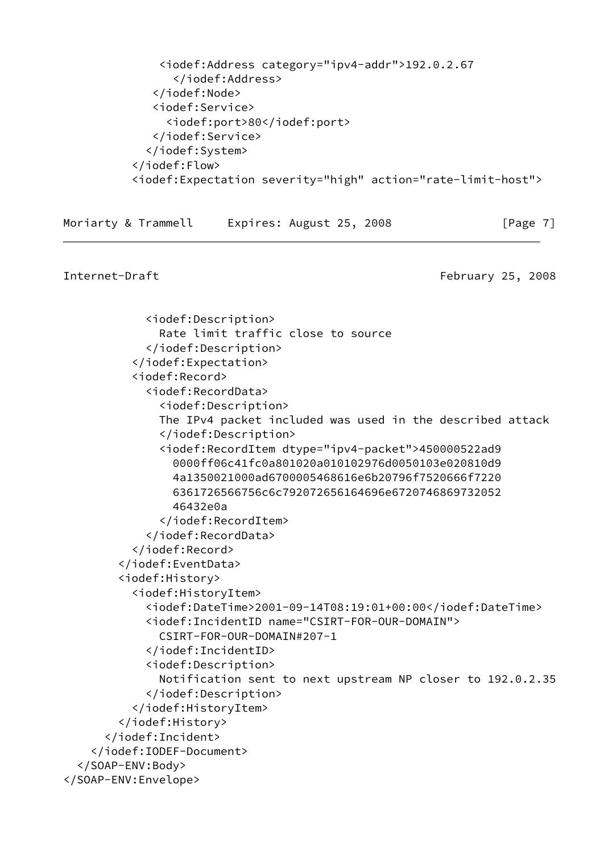```
 <iodef:Address category="ipv4-addr">192.0.2.67
       </iodef:Address>
    </iodef:Node>
    <iodef:Service>
      <iodef:port>80</iodef:port>
    </iodef:Service>
   </iodef:System>
 </iodef:Flow>
 <iodef:Expectation severity="high" action="rate-limit-host">
```
Moriarty & Trammell Expires: August 25, 2008 [Page 7]

Internet-Draft February 25, 2008

 <iodef:Description> Rate limit traffic close to source </iodef:Description> </iodef:Expectation> <iodef:Record> <iodef:RecordData> <iodef:Description> The IPv4 packet included was used in the described attack </iodef:Description> <iodef:RecordItem dtype="ipv4-packet">450000522ad9 0000ff06c41fc0a801020a010102976d0050103e020810d9 4a1350021000ad6700005468616e6b20796f7520666f7220 6361726566756c6c792072656164696e6720746869732052 46432e0a </iodef:RecordItem> </iodef:RecordData> </iodef:Record> </iodef:EventData> <iodef:History> <iodef:HistoryItem> <iodef:DateTime>2001-09-14T08:19:01+00:00</iodef:DateTime> <iodef:IncidentID name="CSIRT-FOR-OUR-DOMAIN"> CSIRT-FOR-OUR-DOMAIN#207-1 </iodef:IncidentID> <iodef:Description> Notification sent to next upstream NP closer to 192.0.2.35 </iodef:Description> </iodef:HistoryItem> </iodef:History> </iodef:Incident> </iodef:IODEF-Document> </SOAP-ENV:Body> </SOAP-ENV:Envelope>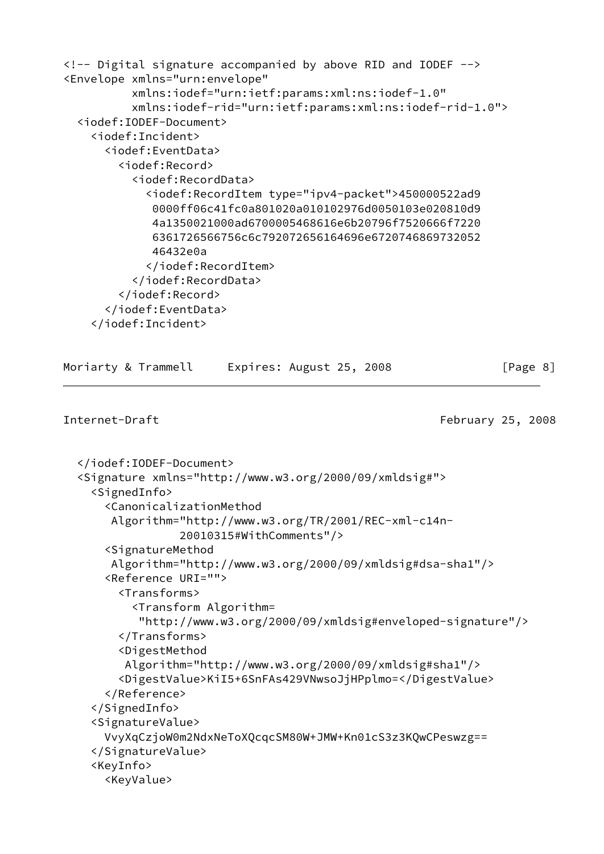```
<!-- Digital signature accompanied by above RID and IODEF -->
<Envelope xmlns="urn:envelope"
           xmlns:iodef="urn:ietf:params:xml:ns:iodef-1.0"
           xmlns:iodef-rid="urn:ietf:params:xml:ns:iodef-rid-1.0">
  <iodef:IODEF-Document>
     <iodef:Incident>
       <iodef:EventData>
         <iodef:Record>
           <iodef:RecordData>
             <iodef:RecordItem type="ipv4-packet">450000522ad9
              0000ff06c41fc0a801020a010102976d0050103e020810d9
              4a1350021000ad6700005468616e6b20796f7520666f7220
              6361726566756c6c792072656164696e6720746869732052
              46432e0a
             </iodef:RecordItem>
           </iodef:RecordData>
         </iodef:Record>
       </iodef:EventData>
     </iodef:Incident>
```

| Moriarty & Trammell | Expires: August 25, 2008 | [Page 8] |
|---------------------|--------------------------|----------|
|---------------------|--------------------------|----------|

```
 </iodef:IODEF-Document>
 <Signature xmlns="http://www.w3.org/2000/09/xmldsig#">
   <SignedInfo>
     <CanonicalizationMethod
      Algorithm="http://www.w3.org/TR/2001/REC-xml-c14n-
                20010315#WithComments"/>
     <SignatureMethod
      Algorithm="http://www.w3.org/2000/09/xmldsig#dsa-sha1"/>
     <Reference URI="">
       <Transforms>
         <Transform Algorithm=
          "http://www.w3.org/2000/09/xmldsig#enveloped-signature"/>
       </Transforms>
       <DigestMethod
        Algorithm="http://www.w3.org/2000/09/xmldsig#sha1"/>
       <DigestValue>KiI5+6SnFAs429VNwsoJjHPplmo=</DigestValue>
     </Reference>
   </SignedInfo>
   <SignatureValue>
     VvyXqCzjoW0m2NdxNeToXQcqcSM80W+JMW+Kn01cS3z3KQwCPeswzg==
   </SignatureValue>
   <KeyInfo>
     <KeyValue>
```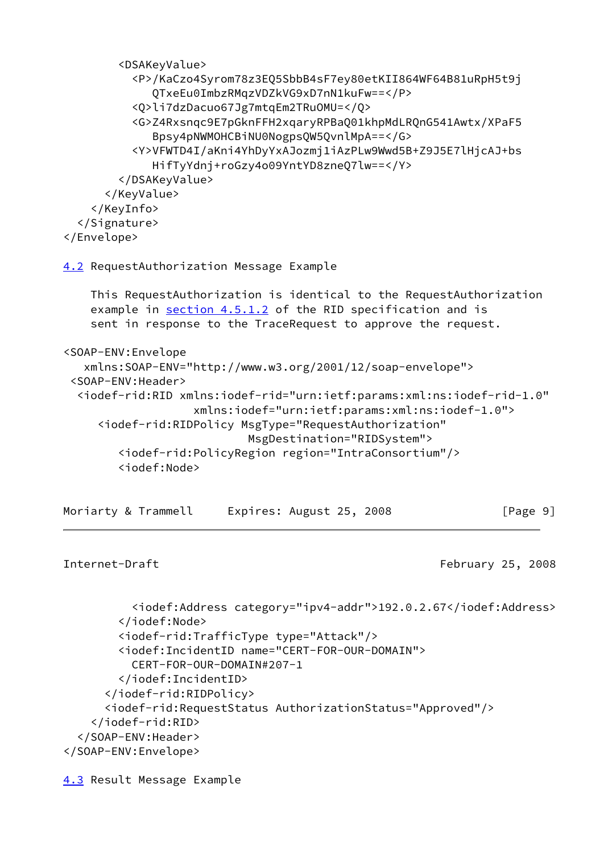```
 <DSAKeyValue>
           <P>/KaCzo4Syrom78z3EQ5SbbB4sF7ey80etKII864WF64B81uRpH5t9j
              QTxeEu0ImbzRMqzVDZkVG9xD7nN1kuFw==</P>
           <Q>li7dzDacuo67Jg7mtqEm2TRuOMU=</Q>
           <G>Z4Rxsnqc9E7pGknFFH2xqaryRPBaQ01khpMdLRQnG541Awtx/XPaF5
              Bpsy4pNWMOHCBiNU0NogpsQW5QvnlMpA==</G>
           <Y>VFWTD4I/aKni4YhDyYxAJozmj1iAzPLw9Wwd5B+Z9J5E7lHjcAJ+bs
              HifTyYdnj+roGzy4o09YntYD8zneQ7lw==</Y>
         </DSAKeyValue>
       </KeyValue>
     </KeyInfo>
   </Signature>
</Envelope>
4.2 RequestAuthorization Message Example
     This RequestAuthorization is identical to the RequestAuthorization
     example in section 4.5.1.2 of the RID specification and is
     sent in response to the TraceRequest to approve the request.
<SOAP-ENV:Envelope
    xmlns:SOAP-ENV="http://www.w3.org/2001/12/soap-envelope">
  <SOAP-ENV:Header>
   <iodef-rid:RID xmlns:iodef-rid="urn:ietf:params:xml:ns:iodef-rid-1.0"
                    xmlns:iodef="urn:ietf:params:xml:ns:iodef-1.0">
      <iodef-rid:RIDPolicy MsgType="RequestAuthorization"
                             MsgDestination="RIDSystem">
         <iodef-rid:PolicyRegion region="IntraConsortium"/>
         <iodef:Node>
```

| Moriarty & Trammell | Expires: August 25, 2008 | [Page 9] |
|---------------------|--------------------------|----------|
|---------------------|--------------------------|----------|

```
 <iodef:Address category="ipv4-addr">192.0.2.67</iodef:Address>
         </iodef:Node>
         <iodef-rid:TrafficType type="Attack"/>
         <iodef:IncidentID name="CERT-FOR-OUR-DOMAIN">
           CERT-FOR-OUR-DOMAIN#207-1
         </iodef:IncidentID>
       </iodef-rid:RIDPolicy>
       <iodef-rid:RequestStatus AuthorizationStatus="Approved"/>
     </iodef-rid:RID>
   </SOAP-ENV:Header>
</SOAP-ENV:Envelope>
```

```
4.3 Result Message Example
```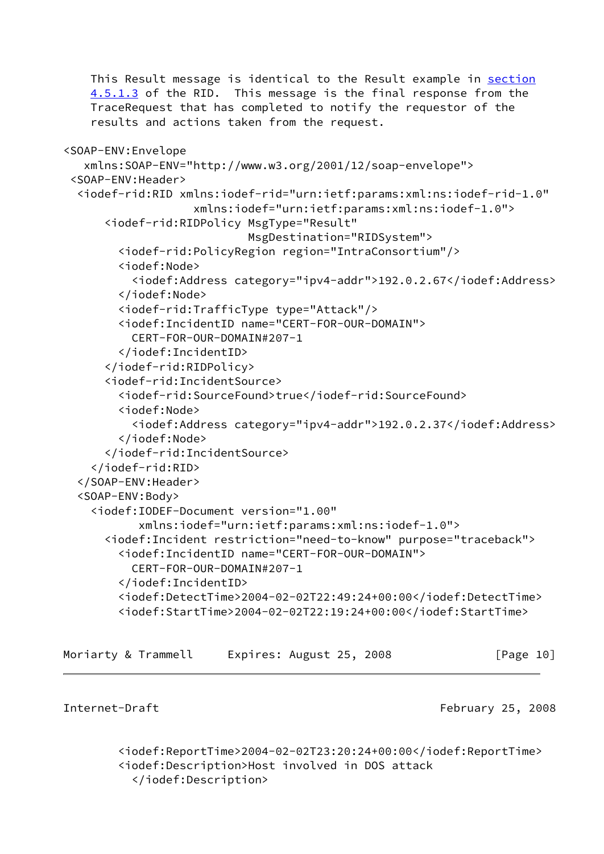```
This Result message is identical to the Result example in section
     4.5.1.3 of the RID. This message is the final response from the
    TraceRequest that has completed to notify the requestor of the
     results and actions taken from the request.
<SOAP-ENV:Envelope
    xmlns:SOAP-ENV="http://www.w3.org/2001/12/soap-envelope">
 <SOAP-ENV:Header>
   <iodef-rid:RID xmlns:iodef-rid="urn:ietf:params:xml:ns:iodef-rid-1.0"
                    xmlns:iodef="urn:ietf:params:xml:ns:iodef-1.0">
       <iodef-rid:RIDPolicy MsgType="Result"
                            MsgDestination="RIDSystem">
         <iodef-rid:PolicyRegion region="IntraConsortium"/>
         <iodef:Node>
           <iodef:Address category="ipv4-addr">192.0.2.67</iodef:Address>
         </iodef:Node>
         <iodef-rid:TrafficType type="Attack"/>
         <iodef:IncidentID name="CERT-FOR-OUR-DOMAIN">
           CERT-FOR-OUR-DOMAIN#207-1
         </iodef:IncidentID>
       </iodef-rid:RIDPolicy>
       <iodef-rid:IncidentSource>
         <iodef-rid:SourceFound>true</iodef-rid:SourceFound>
         <iodef:Node>
           <iodef:Address category="ipv4-addr">192.0.2.37</iodef:Address>
         </iodef:Node>
       </iodef-rid:IncidentSource>
     </iodef-rid:RID>
   </SOAP-ENV:Header>
   <SOAP-ENV:Body>
     <iodef:IODEF-Document version="1.00"
            xmlns:iodef="urn:ietf:params:xml:ns:iodef-1.0">
       <iodef:Incident restriction="need-to-know" purpose="traceback">
         <iodef:IncidentID name="CERT-FOR-OUR-DOMAIN">
           CERT-FOR-OUR-DOMAIN#207-1
         </iodef:IncidentID>
         <iodef:DetectTime>2004-02-02T22:49:24+00:00</iodef:DetectTime>
         <iodef:StartTime>2004-02-02T22:19:24+00:00</iodef:StartTime>
```

| Moriarty & Trammell | Expires: August 25, 2008 | [Page 10] |
|---------------------|--------------------------|-----------|
|---------------------|--------------------------|-----------|

 <iodef:ReportTime>2004-02-02T23:20:24+00:00</iodef:ReportTime> <iodef:Description>Host involved in DOS attack </iodef:Description>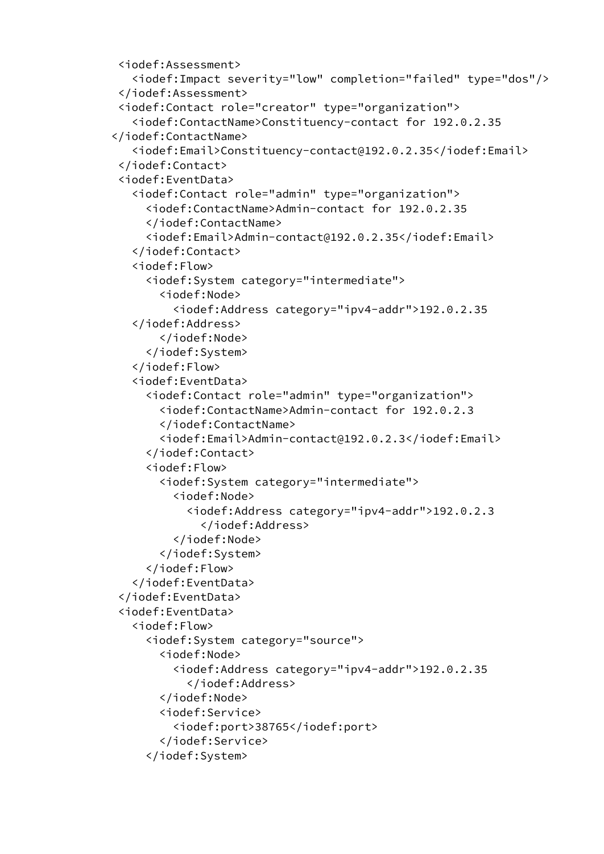```
 <iodef:Assessment>
    <iodef:Impact severity="low" completion="failed" type="dos"/>
  </iodef:Assessment>
  <iodef:Contact role="creator" type="organization">
    <iodef:ContactName>Constituency-contact for 192.0.2.35
 </iodef:ContactName>
    <iodef:Email>Constituency-contact@192.0.2.35</iodef:Email>
 </iodef:Contact>
  <iodef:EventData>
    <iodef:Contact role="admin" type="organization">
      <iodef:ContactName>Admin-contact for 192.0.2.35
      </iodef:ContactName>
      <iodef:Email>Admin-contact@192.0.2.35</iodef:Email>
    </iodef:Contact>
    <iodef:Flow>
      <iodef:System category="intermediate">
        <iodef:Node>
          <iodef:Address category="ipv4-addr">192.0.2.35
    </iodef:Address>
        </iodef:Node>
      </iodef:System>
    </iodef:Flow>
    <iodef:EventData>
      <iodef:Contact role="admin" type="organization">
        <iodef:ContactName>Admin-contact for 192.0.2.3
        </iodef:ContactName>
        <iodef:Email>Admin-contact@192.0.2.3</iodef:Email>
      </iodef:Contact>
      <iodef:Flow>
        <iodef:System category="intermediate">
          <iodef:Node>
            <iodef:Address category="ipv4-addr">192.0.2.3
              </iodef:Address>
          </iodef:Node>
        </iodef:System>
      </iodef:Flow>
    </iodef:EventData>
  </iodef:EventData>
  <iodef:EventData>
    <iodef:Flow>
      <iodef:System category="source">
        <iodef:Node>
          <iodef:Address category="ipv4-addr">192.0.2.35
            </iodef:Address>
        </iodef:Node>
        <iodef:Service>
          <iodef:port>38765</iodef:port>
        </iodef:Service>
      </iodef:System>
```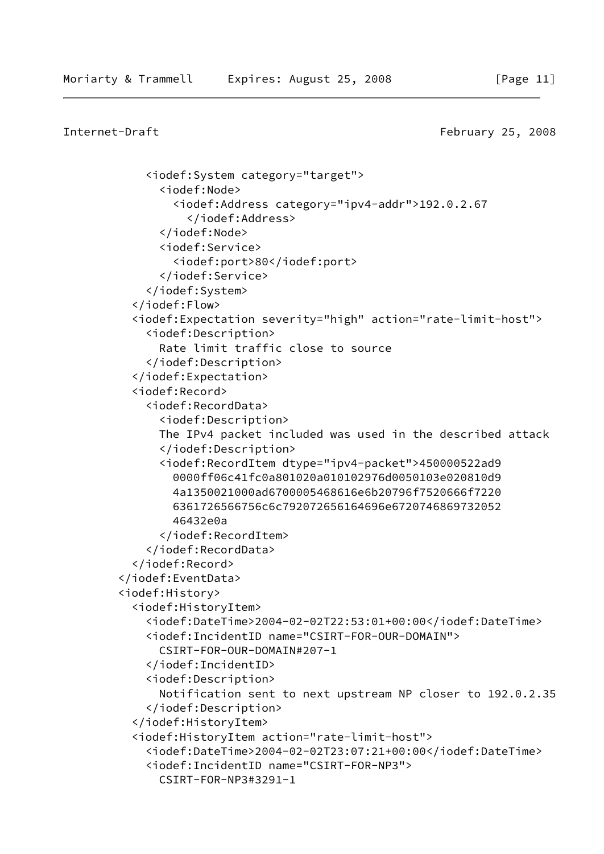```
Internet-Draft February 25, 2008
```

```
 <iodef:System category="target">
       <iodef:Node>
         <iodef:Address category="ipv4-addr">192.0.2.67
           </iodef:Address>
       </iodef:Node>
       <iodef:Service>
         <iodef:port>80</iodef:port>
       </iodef:Service>
     </iodef:System>
   </iodef:Flow>
   <iodef:Expectation severity="high" action="rate-limit-host">
     <iodef:Description>
       Rate limit traffic close to source
     </iodef:Description>
   </iodef:Expectation>
   <iodef:Record>
     <iodef:RecordData>
       <iodef:Description>
       The IPv4 packet included was used in the described attack
       </iodef:Description>
       <iodef:RecordItem dtype="ipv4-packet">450000522ad9
         0000ff06c41fc0a801020a010102976d0050103e020810d9
         4a1350021000ad6700005468616e6b20796f7520666f7220
         6361726566756c6c792072656164696e6720746869732052
         46432e0a
       </iodef:RecordItem>
     </iodef:RecordData>
   </iodef:Record>
 </iodef:EventData>
 <iodef:History>
   <iodef:HistoryItem>
     <iodef:DateTime>2004-02-02T22:53:01+00:00</iodef:DateTime>
     <iodef:IncidentID name="CSIRT-FOR-OUR-DOMAIN">
       CSIRT-FOR-OUR-DOMAIN#207-1
     </iodef:IncidentID>
     <iodef:Description>
       Notification sent to next upstream NP closer to 192.0.2.35
     </iodef:Description>
   </iodef:HistoryItem>
   <iodef:HistoryItem action="rate-limit-host">
     <iodef:DateTime>2004-02-02T23:07:21+00:00</iodef:DateTime>
     <iodef:IncidentID name="CSIRT-FOR-NP3">
       CSIRT-FOR-NP3#3291-1
```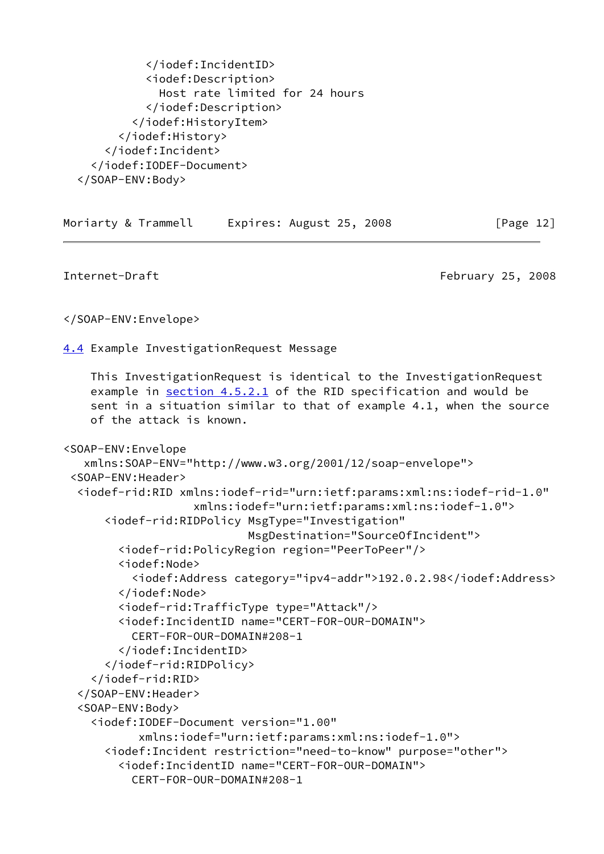```
 </iodef:IncidentID>
           <iodef:Description>
              Host rate limited for 24 hours
            </iodef:Description>
         </iodef:HistoryItem>
       </iodef:History>
     </iodef:Incident>
   </iodef:IODEF-Document>
 </SOAP-ENV:Body>
```

| Moriarty & Trammell | Expires: August 25, 2008 | [Page 12] |  |
|---------------------|--------------------------|-----------|--|
|                     |                          |           |  |

<span id="page-14-1"></span>

```
</SOAP-ENV:Envelope>
```
<span id="page-14-0"></span>[4.4](#page-14-0) Example InvestigationRequest Message

 This InvestigationRequest is identical to the InvestigationRequest example in section 4.5.2.1 of the RID specification and would be sent in a situation similar to that of example 4.1, when the source of the attack is known.

```
<SOAP-ENV:Envelope
    xmlns:SOAP-ENV="http://www.w3.org/2001/12/soap-envelope">
 <SOAP-ENV:Header>
  <iodef-rid:RID xmlns:iodef-rid="urn:ietf:params:xml:ns:iodef-rid-1.0"
                    xmlns:iodef="urn:ietf:params:xml:ns:iodef-1.0">
       <iodef-rid:RIDPolicy MsgType="Investigation"
                             MsgDestination="SourceOfIncident">
         <iodef-rid:PolicyRegion region="PeerToPeer"/>
         <iodef:Node>
           <iodef:Address category="ipv4-addr">192.0.2.98</iodef:Address>
         </iodef:Node>
         <iodef-rid:TrafficType type="Attack"/>
         <iodef:IncidentID name="CERT-FOR-OUR-DOMAIN">
           CERT-FOR-OUR-DOMAIN#208-1
         </iodef:IncidentID>
       </iodef-rid:RIDPolicy>
     </iodef-rid:RID>
  </SOAP-ENV:Header>
  <SOAP-ENV:Body>
     <iodef:IODEF-Document version="1.00"
            xmlns:iodef="urn:ietf:params:xml:ns:iodef-1.0">
       <iodef:Incident restriction="need-to-know" purpose="other">
         <iodef:IncidentID name="CERT-FOR-OUR-DOMAIN">
           CERT-FOR-OUR-DOMAIN#208-1
```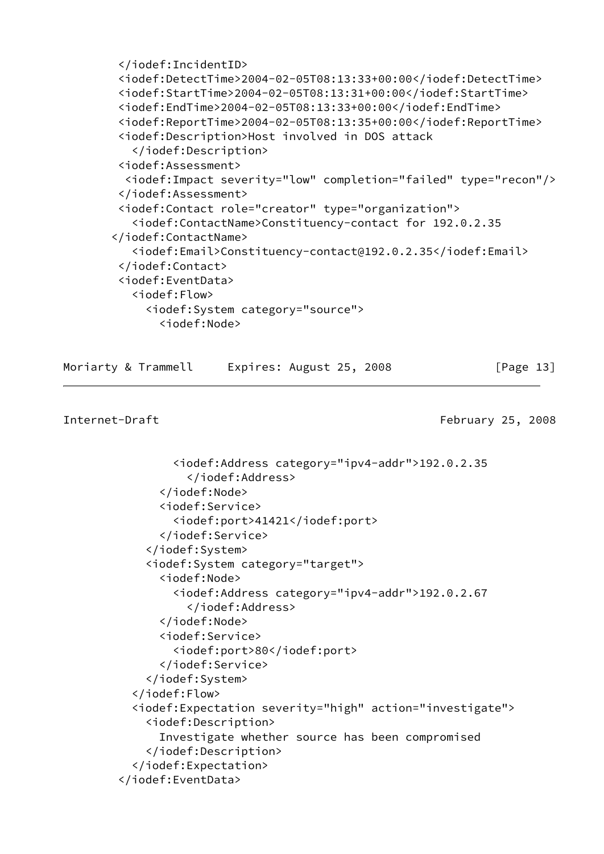```
 </iodef:IncidentID>
  <iodef:DetectTime>2004-02-05T08:13:33+00:00</iodef:DetectTime>
  <iodef:StartTime>2004-02-05T08:13:31+00:00</iodef:StartTime>
  <iodef:EndTime>2004-02-05T08:13:33+00:00</iodef:EndTime>
  <iodef:ReportTime>2004-02-05T08:13:35+00:00</iodef:ReportTime>
  <iodef:Description>Host involved in DOS attack
    </iodef:Description>
  <iodef:Assessment>
   <iodef:Impact severity="low" completion="failed" type="recon"/>
  </iodef:Assessment>
  <iodef:Contact role="creator" type="organization">
    <iodef:ContactName>Constituency-contact for 192.0.2.35
 </iodef:ContactName>
    <iodef:Email>Constituency-contact@192.0.2.35</iodef:Email>
  </iodef:Contact>
  <iodef:EventData>
    <iodef:Flow>
      <iodef:System category="source">
        <iodef:Node>
```
Moriarty & Trammell Expires: August 25, 2008 [Page 13]

<span id="page-15-0"></span>Internet-Draft February 25, 2008

```
 <iodef:Address category="ipv4-addr">192.0.2.35
           </iodef:Address>
       </iodef:Node>
       <iodef:Service>
         <iodef:port>41421</iodef:port>
       </iodef:Service>
     </iodef:System>
     <iodef:System category="target">
       <iodef:Node>
         <iodef:Address category="ipv4-addr">192.0.2.67
           </iodef:Address>
       </iodef:Node>
       <iodef:Service>
         <iodef:port>80</iodef:port>
       </iodef:Service>
     </iodef:System>
   </iodef:Flow>
   <iodef:Expectation severity="high" action="investigate">
     <iodef:Description>
       Investigate whether source has been compromised
     </iodef:Description>
   </iodef:Expectation>
 </iodef:EventData>
```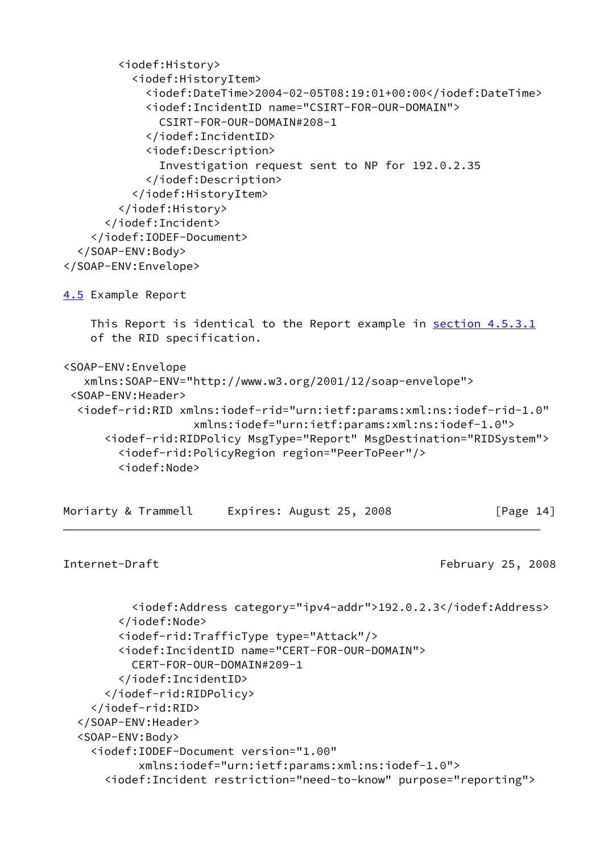```
 <iodef:History>
           <iodef:HistoryItem>
             <iodef:DateTime>2004-02-05T08:19:01+00:00</iodef:DateTime>
             <iodef:IncidentID name="CSIRT-FOR-OUR-DOMAIN">
               CSIRT-FOR-OUR-DOMAIN#208-1
             </iodef:IncidentID>
             <iodef:Description>
               Investigation request sent to NP for 192.0.2.35
             </iodef:Description>
           </iodef:HistoryItem>
         </iodef:History>
       </iodef:Incident>
     </iodef:IODEF-Document>
   </SOAP-ENV:Body>
</SOAP-ENV:Envelope>
4.5 Example Report
     This Report is identical to the Report example in section 4.5.3.1
     of the RID specification.
<SOAP-ENV:Envelope
    xmlns:SOAP-ENV="http://www.w3.org/2001/12/soap-envelope">
  <SOAP-ENV:Header>
   <iodef-rid:RID xmlns:iodef-rid="urn:ietf:params:xml:ns:iodef-rid-1.0"
                    xmlns:iodef="urn:ietf:params:xml:ns:iodef-1.0">
       <iodef-rid:RIDPolicy MsgType="Report" MsgDestination="RIDSystem">
         <iodef-rid:PolicyRegion region="PeerToPeer"/>
         <iodef:Node>
```
<span id="page-16-0"></span>

| Moriarty & Trammell | Expires: August 25, 2008 | [Page 14] |
|---------------------|--------------------------|-----------|
|---------------------|--------------------------|-----------|

```
 <iodef:Address category="ipv4-addr">192.0.2.3</iodef:Address>
       </iodef:Node>
       <iodef-rid:TrafficType type="Attack"/>
       <iodef:IncidentID name="CERT-FOR-OUR-DOMAIN">
         CERT-FOR-OUR-DOMAIN#209-1
       </iodef:IncidentID>
     </iodef-rid:RIDPolicy>
  </iodef-rid:RID>
 </SOAP-ENV:Header>
 <SOAP-ENV:Body>
   <iodef:IODEF-Document version="1.00"
          xmlns:iodef="urn:ietf:params:xml:ns:iodef-1.0">
     <iodef:Incident restriction="need-to-know" purpose="reporting">
```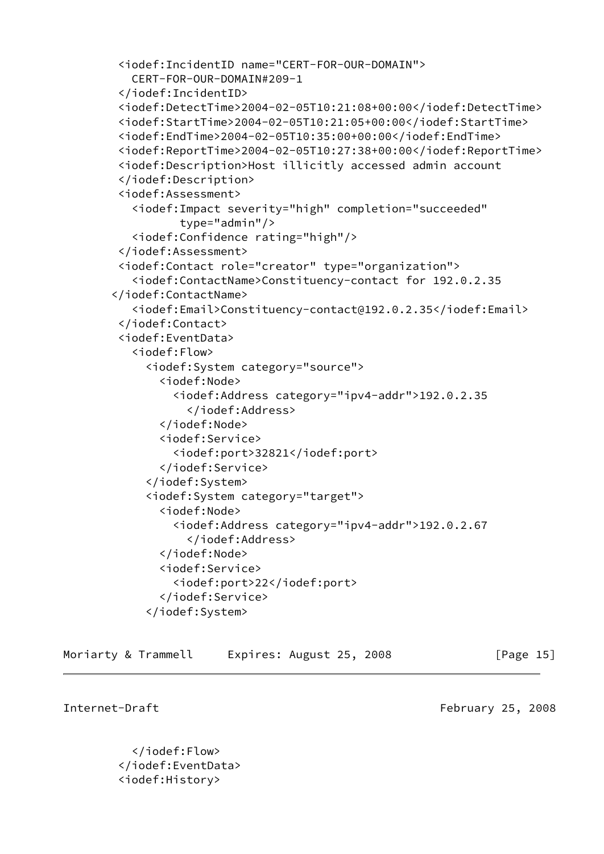```
 <iodef:IncidentID name="CERT-FOR-OUR-DOMAIN">
   CERT-FOR-OUR-DOMAIN#209-1
  </iodef:IncidentID>
  <iodef:DetectTime>2004-02-05T10:21:08+00:00</iodef:DetectTime>
  <iodef:StartTime>2004-02-05T10:21:05+00:00</iodef:StartTime>
  <iodef:EndTime>2004-02-05T10:35:00+00:00</iodef:EndTime>
  <iodef:ReportTime>2004-02-05T10:27:38+00:00</iodef:ReportTime>
  <iodef:Description>Host illicitly accessed admin account
  </iodef:Description>
  <iodef:Assessment>
    <iodef:Impact severity="high" completion="succeeded"
           type="admin"/>
    <iodef:Confidence rating="high"/>
  </iodef:Assessment>
  <iodef:Contact role="creator" type="organization">
    <iodef:ContactName>Constituency-contact for 192.0.2.35
 </iodef:ContactName>
    <iodef:Email>Constituency-contact@192.0.2.35</iodef:Email>
  </iodef:Contact>
 <iodef:EventData>
    <iodef:Flow>
      <iodef:System category="source">
        <iodef:Node>
          <iodef:Address category="ipv4-addr">192.0.2.35
            </iodef:Address>
        </iodef:Node>
        <iodef:Service>
          <iodef:port>32821</iodef:port>
        </iodef:Service>
      </iodef:System>
      <iodef:System category="target">
        <iodef:Node>
          <iodef:Address category="ipv4-addr">192.0.2.67
            </iodef:Address>
        </iodef:Node>
        <iodef:Service>
          <iodef:port>22</iodef:port>
        </iodef:Service>
      </iodef:System>
```

| Moriarty & Trammell | Expires: August 25, 2008 |  | [Page 15] |  |
|---------------------|--------------------------|--|-----------|--|
|                     |                          |  |           |  |

 </iodef:Flow> </iodef:EventData> <iodef:History>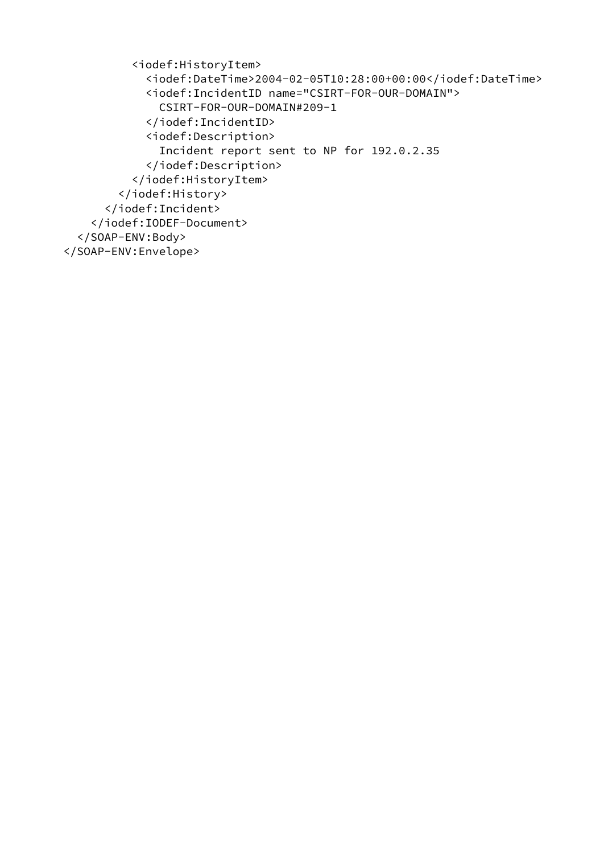```
 <iodef:HistoryItem>
             <iodef:DateTime>2004-02-05T10:28:00+00:00</iodef:DateTime>
             <iodef:IncidentID name="CSIRT-FOR-OUR-DOMAIN">
               CSIRT-FOR-OUR-DOMAIN#209-1
             </iodef:IncidentID>
             <iodef:Description>
               Incident report sent to NP for 192.0.2.35
             </iodef:Description>
           </iodef:HistoryItem>
         </iodef:History>
       </iodef:Incident>
     </iodef:IODEF-Document>
  </SOAP-ENV:Body>
</SOAP-ENV:Envelope>
```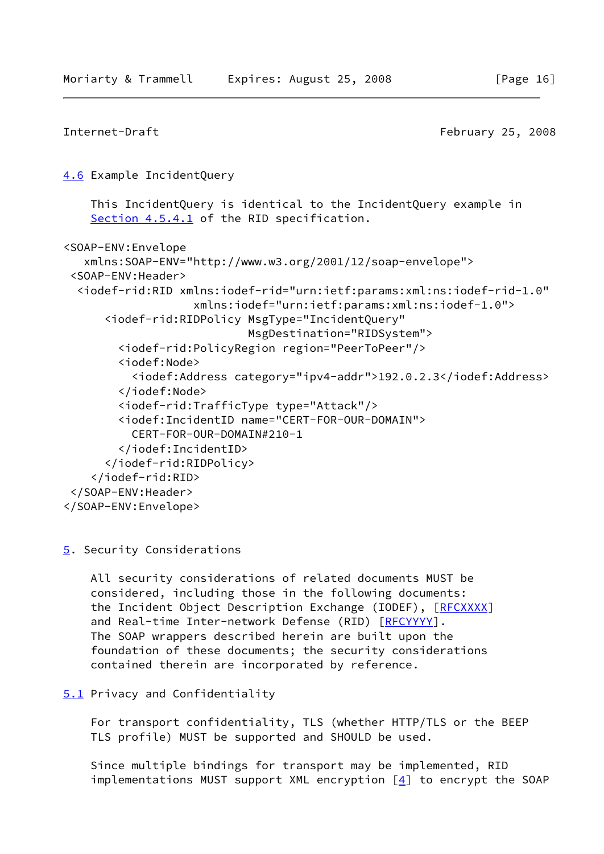```
Internet-Draft February 25, 2008
```

```
4.6 Example IncidentQuery
```
 This IncidentQuery is identical to the IncidentQuery example in Section 4.5.4.1 of the RID specification.

```
<SOAP-ENV:Envelope
    xmlns:SOAP-ENV="http://www.w3.org/2001/12/soap-envelope">
 <SOAP-ENV:Header>
   <iodef-rid:RID xmlns:iodef-rid="urn:ietf:params:xml:ns:iodef-rid-1.0"
                    xmlns:iodef="urn:ietf:params:xml:ns:iodef-1.0">
       <iodef-rid:RIDPolicy MsgType="IncidentQuery"
                             MsgDestination="RIDSystem">
         <iodef-rid:PolicyRegion region="PeerToPeer"/>
         <iodef:Node>
           <iodef:Address category="ipv4-addr">192.0.2.3</iodef:Address>
         </iodef:Node>
         <iodef-rid:TrafficType type="Attack"/>
         <iodef:IncidentID name="CERT-FOR-OUR-DOMAIN">
           CERT-FOR-OUR-DOMAIN#210-1
         </iodef:IncidentID>
       </iodef-rid:RIDPolicy>
     </iodef-rid:RID>
 </SOAP-ENV:Header>
</SOAP-ENV:Envelope>
```
# <span id="page-19-2"></span>[5](#page-19-2). Security Considerations

 All security considerations of related documents MUST be considered, including those in the following documents: the Incident Object Description Exchange (IODEF), [[RFCXXXX\]](#page-21-3) and Real-time Inter-network Defense (RID) [[RFCYYYY\]](#page-21-4). The SOAP wrappers described herein are built upon the foundation of these documents; the security considerations contained therein are incorporated by reference.

<span id="page-19-3"></span>[5.1](#page-19-3) Privacy and Confidentiality

 For transport confidentiality, TLS (whether HTTP/TLS or the BEEP TLS profile) MUST be supported and SHOULD be used.

 Since multiple bindings for transport may be implemented, RID implementations MUST support XML encryption  $[4]$  to encrypt the SOAP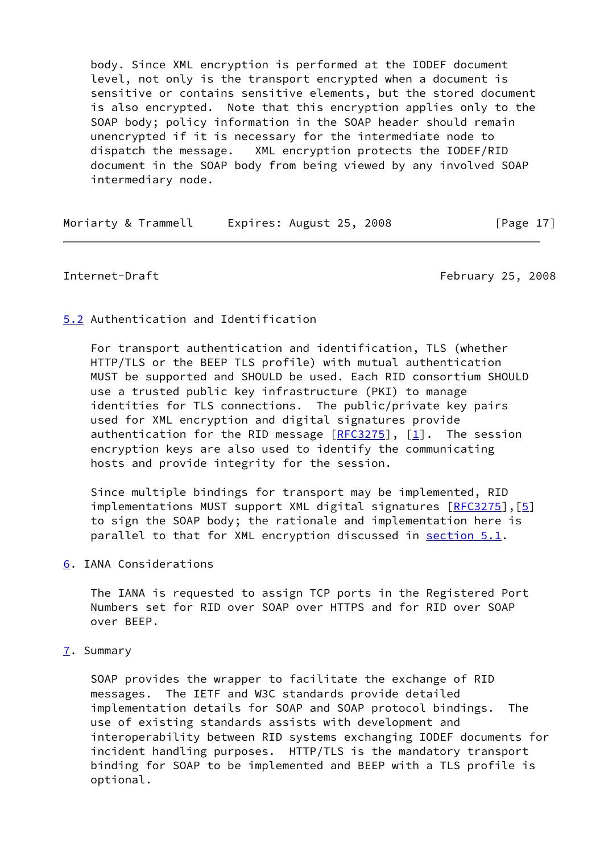body. Since XML encryption is performed at the IODEF document level, not only is the transport encrypted when a document is sensitive or contains sensitive elements, but the stored document is also encrypted. Note that this encryption applies only to the SOAP body; policy information in the SOAP header should remain unencrypted if it is necessary for the intermediate node to dispatch the message. XML encryption protects the IODEF/RID document in the SOAP body from being viewed by any involved SOAP intermediary node.

Moriarty & Trammell Expires: August 25, 2008 [Page 17]

<span id="page-20-1"></span>Internet-Draft February 25, 2008

# <span id="page-20-0"></span>[5.2](#page-20-0) Authentication and Identification

 For transport authentication and identification, TLS (whether HTTP/TLS or the BEEP TLS profile) with mutual authentication MUST be supported and SHOULD be used. Each RID consortium SHOULD use a trusted public key infrastructure (PKI) to manage identities for TLS connections. The public/private key pairs used for XML encryption and digital signatures provide authentication for the RID message [\[RFC3275](https://datatracker.ietf.org/doc/pdf/rfc3275)], [\[1](#page-21-5)]. The session encryption keys are also used to identify the communicating hosts and provide integrity for the session.

 Since multiple bindings for transport may be implemented, RID implementations MUST support XML digital signatures [\[RFC3275](https://datatracker.ietf.org/doc/pdf/rfc3275)], [\[5](#page-22-6)] to sign the SOAP body; the rationale and implementation here is parallel to that for XML encryption discussed in [section 5.1](#page-19-3).

<span id="page-20-2"></span>[6](#page-20-2). IANA Considerations

 The IANA is requested to assign TCP ports in the Registered Port Numbers set for RID over SOAP over HTTPS and for RID over SOAP over BEEP.

# <span id="page-20-3"></span>[7](#page-20-3). Summary

 SOAP provides the wrapper to facilitate the exchange of RID messages. The IETF and W3C standards provide detailed implementation details for SOAP and SOAP protocol bindings. The use of existing standards assists with development and interoperability between RID systems exchanging IODEF documents for incident handling purposes. HTTP/TLS is the mandatory transport binding for SOAP to be implemented and BEEP with a TLS profile is optional.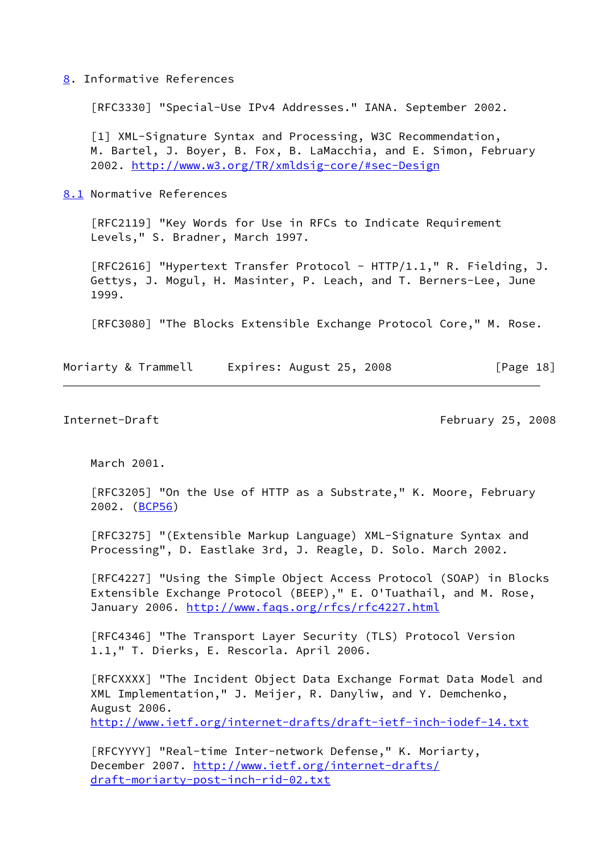### <span id="page-21-0"></span>[8](#page-21-0). Informative References

[RFC3330] "Special-Use IPv4 Addresses." IANA. September 2002.

<span id="page-21-5"></span>[1] XML-Signature Syntax and Processing, W3C Recommendation, M. Bartel, J. Boyer, B. Fox, B. LaMacchia, and E. Simon, February 2002. <http://www.w3.org/TR/xmldsig-core/#sec-Design>

<span id="page-21-1"></span>[8.1](#page-21-1) Normative References

 [RFC2119] "Key Words for Use in RFCs to Indicate Requirement Levels," S. Bradner, March 1997.

[RFC2616] "Hypertext Transfer Protocol - HTTP/1.1," R. Fielding, J. Gettys, J. Mogul, H. Masinter, P. Leach, and T. Berners-Lee, June 1999.

[RFC3080] "The Blocks Extensible Exchange Protocol Core," M. Rose.

| Moriarty & Trammell | Expires: August 25, 2008 | [Page 18] |  |
|---------------------|--------------------------|-----------|--|
|---------------------|--------------------------|-----------|--|

<span id="page-21-2"></span>

Internet-Draft February 25, 2008

March 2001.

 [RFC3205] "On the Use of HTTP as a Substrate," K. Moore, February 2002. [\(BCP56](https://datatracker.ietf.org/doc/pdf/bcp56))

 [RFC3275] "(Extensible Markup Language) XML-Signature Syntax and Processing", D. Eastlake 3rd, J. Reagle, D. Solo. March 2002.

 [RFC4227] "Using the Simple Object Access Protocol (SOAP) in Blocks Extensible Exchange Protocol (BEEP)," E. O'Tuathail, and M. Rose, January 2006. <http://www.faqs.org/rfcs/rfc4227.html>

 [RFC4346] "The Transport Layer Security (TLS) Protocol Version 1.1," T. Dierks, E. Rescorla. April 2006.

<span id="page-21-3"></span> [RFCXXXX] "The Incident Object Data Exchange Format Data Model and XML Implementation," J. Meijer, R. Danyliw, and Y. Demchenko, August 2006. <http://www.ietf.org/internet-drafts/draft-ietf-inch-iodef-14.txt>

<span id="page-21-4"></span> [RFCYYYY] "Real-time Inter-network Defense," K. Moriarty, December 2007. [http://www.ietf.org/internet-drafts/](http://www.ietf.org/internet-drafts/draft-moriarty-post-inch-rid-02.txt) [draft-moriarty-post-inch-rid-02.txt](http://www.ietf.org/internet-drafts/draft-moriarty-post-inch-rid-02.txt)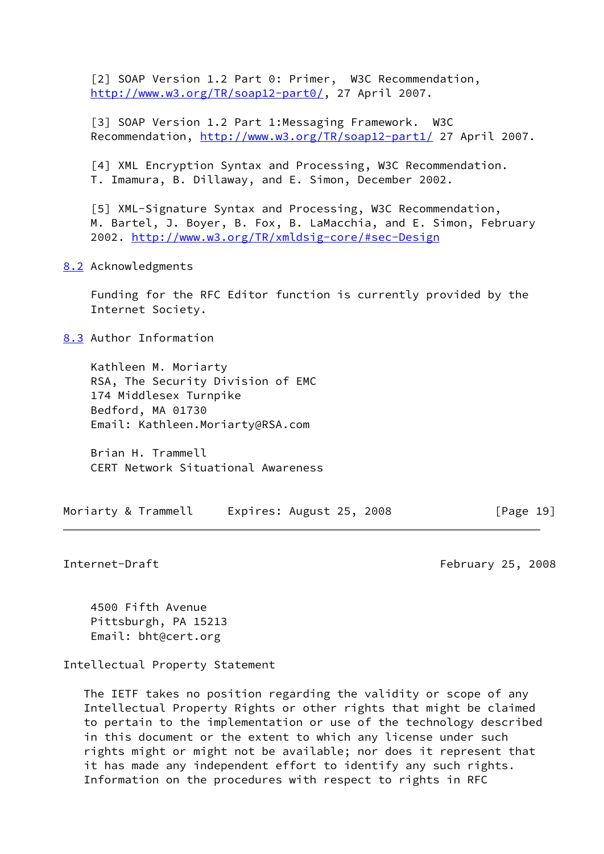<span id="page-22-3"></span>[2] SOAP Version 1.2 Part 0: Primer, W3C Recommendation, [http://www.w3.org/TR/soap12-part0/,](http://www.w3.org/TR/soap12-part0/) 27 April 2007.

<span id="page-22-4"></span> [3] SOAP Version 1.2 Part 1:Messaging Framework. W3C Recommendation,<http://www.w3.org/TR/soap12-part1/>27 April 2007.

<span id="page-22-5"></span> [4] XML Encryption Syntax and Processing, W3C Recommendation. T. Imamura, B. Dillaway, and E. Simon, December 2002.

<span id="page-22-6"></span> [5] XML-Signature Syntax and Processing, W3C Recommendation, M. Bartel, J. Boyer, B. Fox, B. LaMacchia, and E. Simon, February 2002. <http://www.w3.org/TR/xmldsig-core/#sec-Design>

<span id="page-22-0"></span>[8.2](#page-22-0) Acknowledgments

 Funding for the RFC Editor function is currently provided by the Internet Society.

<span id="page-22-1"></span>[8.3](#page-22-1) Author Information

 Kathleen M. Moriarty RSA, The Security Division of EMC 174 Middlesex Turnpike Bedford, MA 01730 Email: Kathleen.Moriarty@RSA.com

 Brian H. Trammell CERT Network Situational Awareness

Moriarty & Trammell Expires: August 25, 2008 [Page 19]

<span id="page-22-2"></span>Internet-Draft February 25, 2008

 4500 Fifth Avenue Pittsburgh, PA 15213 Email: bht@cert.org

Intellectual Property Statement

 The IETF takes no position regarding the validity or scope of any Intellectual Property Rights or other rights that might be claimed to pertain to the implementation or use of the technology described in this document or the extent to which any license under such rights might or might not be available; nor does it represent that it has made any independent effort to identify any such rights. Information on the procedures with respect to rights in RFC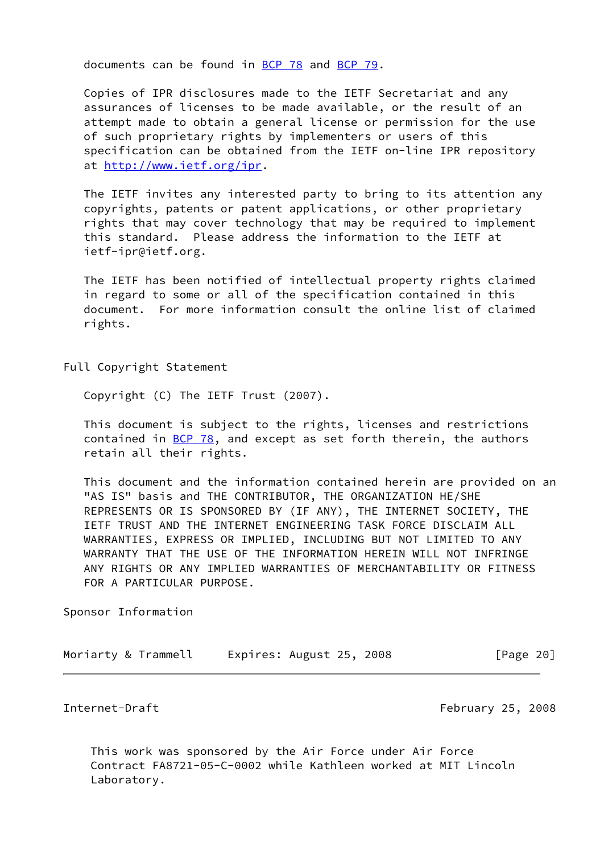documents can be found in [BCP 78](https://datatracker.ietf.org/doc/pdf/bcp78) and [BCP 79](https://datatracker.ietf.org/doc/pdf/bcp79).

 Copies of IPR disclosures made to the IETF Secretariat and any assurances of licenses to be made available, or the result of an attempt made to obtain a general license or permission for the use of such proprietary rights by implementers or users of this specification can be obtained from the IETF on-line IPR repository at <http://www.ietf.org/ipr>.

 The IETF invites any interested party to bring to its attention any copyrights, patents or patent applications, or other proprietary rights that may cover technology that may be required to implement this standard. Please address the information to the IETF at ietf-ipr@ietf.org.

 The IETF has been notified of intellectual property rights claimed in regard to some or all of the specification contained in this document. For more information consult the online list of claimed rights.

Full Copyright Statement

Copyright (C) The IETF Trust (2007).

 This document is subject to the rights, licenses and restrictions contained in  $BCP$  78, and except as set forth therein, the authors retain all their rights.

 This document and the information contained herein are provided on an "AS IS" basis and THE CONTRIBUTOR, THE ORGANIZATION HE/SHE REPRESENTS OR IS SPONSORED BY (IF ANY), THE INTERNET SOCIETY, THE IETF TRUST AND THE INTERNET ENGINEERING TASK FORCE DISCLAIM ALL WARRANTIES, EXPRESS OR IMPLIED, INCLUDING BUT NOT LIMITED TO ANY WARRANTY THAT THE USE OF THE INFORMATION HEREIN WILL NOT INFRINGE ANY RIGHTS OR ANY IMPLIED WARRANTIES OF MERCHANTABILITY OR FITNESS FOR A PARTICULAR PURPOSE.

Sponsor Information

| Moriarty & Trammell | Expires: August 25, 2008 | [Page 20] |
|---------------------|--------------------------|-----------|
|---------------------|--------------------------|-----------|

Internet-Draft February 25, 2008

 This work was sponsored by the Air Force under Air Force Contract FA8721-05-C-0002 while Kathleen worked at MIT Lincoln Laboratory.